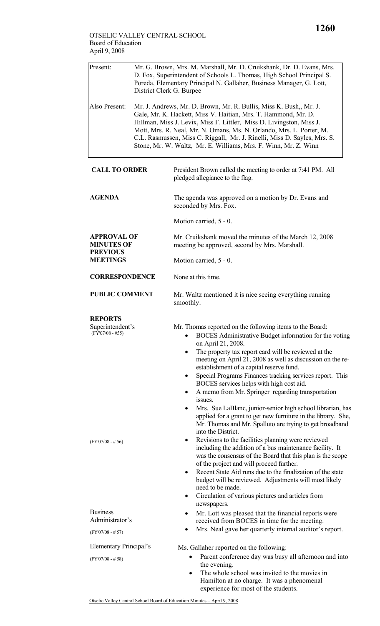| Present:                                                                      | Mr. G. Brown, Mrs. M. Marshall, Mr. D. Cruikshank, Dr. D. Evans, Mrs.<br>D. Fox, Superintendent of Schools L. Thomas, High School Principal S.<br>Poreda, Elementary Principal N. Gallaher, Business Manager, G. Lott,<br>District Clerk G. Burpee                                                                                                                                                                                  |                                                                                                                                                                                                                                                                                                                                                                                                                                                                                                                                       |  |  |
|-------------------------------------------------------------------------------|-------------------------------------------------------------------------------------------------------------------------------------------------------------------------------------------------------------------------------------------------------------------------------------------------------------------------------------------------------------------------------------------------------------------------------------|---------------------------------------------------------------------------------------------------------------------------------------------------------------------------------------------------------------------------------------------------------------------------------------------------------------------------------------------------------------------------------------------------------------------------------------------------------------------------------------------------------------------------------------|--|--|
| Also Present:                                                                 | Mr. J. Andrews, Mr. D. Brown, Mr. R. Bullis, Miss K. Bush,, Mr. J.<br>Gale, Mr. K. Hackett, Miss V. Haitian, Mrs. T. Hammond, Mr. D.<br>Hillman, Miss J. Levix, Miss F. Littler, Miss D. Livingston, Miss J.<br>Mott, Mrs. R. Neal, Mr. N. Omans, Ms. N. Orlando, Mrs. L. Porter, M.<br>C.L. Rasmussen, Miss C. Riggall, Mr. J. Rinelli, Miss D. Sayles, Mrs. S.<br>Stone, Mr. W. Waltz, Mr. E. Williams, Mrs. F. Winn, Mr. Z. Winn |                                                                                                                                                                                                                                                                                                                                                                                                                                                                                                                                       |  |  |
| <b>CALL TO ORDER</b>                                                          |                                                                                                                                                                                                                                                                                                                                                                                                                                     | President Brown called the meeting to order at 7:41 PM. All<br>pledged allegiance to the flag.                                                                                                                                                                                                                                                                                                                                                                                                                                        |  |  |
| <b>AGENDA</b>                                                                 |                                                                                                                                                                                                                                                                                                                                                                                                                                     | The agenda was approved on a motion by Dr. Evans and<br>seconded by Mrs. Fox.                                                                                                                                                                                                                                                                                                                                                                                                                                                         |  |  |
|                                                                               |                                                                                                                                                                                                                                                                                                                                                                                                                                     | Motion carried, 5 - 0.                                                                                                                                                                                                                                                                                                                                                                                                                                                                                                                |  |  |
| <b>APPROVAL OF</b><br><b>MINUTES OF</b><br><b>PREVIOUS</b><br><b>MEETINGS</b> |                                                                                                                                                                                                                                                                                                                                                                                                                                     | Mr. Cruikshank moved the minutes of the March 12, 2008<br>meeting be approved, second by Mrs. Marshall.                                                                                                                                                                                                                                                                                                                                                                                                                               |  |  |
|                                                                               |                                                                                                                                                                                                                                                                                                                                                                                                                                     | Motion carried, 5 - 0.                                                                                                                                                                                                                                                                                                                                                                                                                                                                                                                |  |  |
| <b>CORRESPONDENCE</b>                                                         |                                                                                                                                                                                                                                                                                                                                                                                                                                     | None at this time.                                                                                                                                                                                                                                                                                                                                                                                                                                                                                                                    |  |  |
| <b>PUBLIC COMMENT</b>                                                         |                                                                                                                                                                                                                                                                                                                                                                                                                                     | Mr. Waltz mentioned it is nice seeing everything running<br>smoothly.                                                                                                                                                                                                                                                                                                                                                                                                                                                                 |  |  |
| <b>REPORTS</b><br>Superintendent's<br>$(FY'07/08 - #55)$                      |                                                                                                                                                                                                                                                                                                                                                                                                                                     | Mr. Thomas reported on the following items to the Board:<br>BOCES Administrative Budget information for the voting<br>on April 21, 2008.<br>The property tax report card will be reviewed at the<br>meeting on April 21, 2008 as well as discussion on the re-<br>establishment of a capital reserve fund.<br>Special Programs Finances tracking services report. This<br>$\bullet$<br>BOCES services helps with high cost aid.<br>A memo from Mr. Springer regarding transportation<br>٠<br>issues.                                  |  |  |
| $(FY'07/08 - # 56)$                                                           |                                                                                                                                                                                                                                                                                                                                                                                                                                     | Mrs. Sue LaBlanc, junior-senior high school librarian, has<br>$\bullet$<br>applied for a grant to get new furniture in the library. She,<br>Mr. Thomas and Mr. Spalluto are trying to get broadband<br>into the District.<br>Revisions to the facilities planning were reviewed<br>٠<br>including the addition of a bus maintenance facility. It<br>was the consensus of the Board that this plan is the scope<br>of the project and will proceed further.<br>Recent State Aid runs due to the finalization of the state<br>$\bullet$ |  |  |
| <b>Business</b><br>Administrator's                                            |                                                                                                                                                                                                                                                                                                                                                                                                                                     | budget will be reviewed. Adjustments will most likely<br>need to be made.<br>Circulation of various pictures and articles from<br>٠<br>newspapers.<br>Mr. Lott was pleased that the financial reports were<br>$\bullet$<br>received from BOCES in time for the meeting.                                                                                                                                                                                                                                                               |  |  |
| $(FY'07/08 - # 57)$                                                           |                                                                                                                                                                                                                                                                                                                                                                                                                                     | Mrs. Neal gave her quarterly internal auditor's report.<br>$\bullet$                                                                                                                                                                                                                                                                                                                                                                                                                                                                  |  |  |
| Elementary Principal's<br>$(FY'07/08 - #58)$                                  |                                                                                                                                                                                                                                                                                                                                                                                                                                     | Ms. Gallaher reported on the following:<br>Parent conference day was busy all afternoon and into<br>the evening.<br>The whole school was invited to the movies in<br>$\bullet$<br>Hamilton at no charge. It was a phenomenal<br>experience for most of the students.                                                                                                                                                                                                                                                                  |  |  |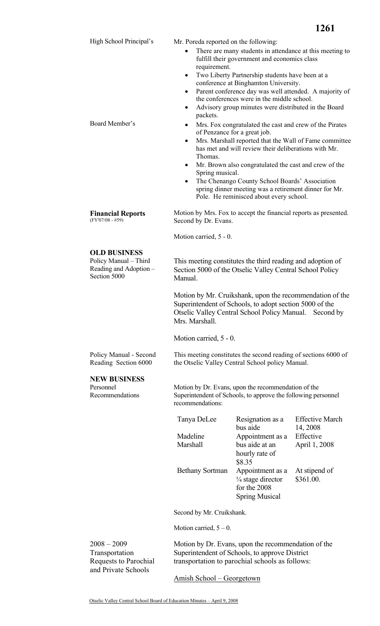|                                                                                        |                                                                                                                                                                                                                                                                                                                                                                                                                                                                                                                                                                                                                                                                                                                                                                                                                                                                                                         |                                                                                           | 1261                                   |  |
|----------------------------------------------------------------------------------------|---------------------------------------------------------------------------------------------------------------------------------------------------------------------------------------------------------------------------------------------------------------------------------------------------------------------------------------------------------------------------------------------------------------------------------------------------------------------------------------------------------------------------------------------------------------------------------------------------------------------------------------------------------------------------------------------------------------------------------------------------------------------------------------------------------------------------------------------------------------------------------------------------------|-------------------------------------------------------------------------------------------|----------------------------------------|--|
| High School Principal's                                                                | Mr. Poreda reported on the following:                                                                                                                                                                                                                                                                                                                                                                                                                                                                                                                                                                                                                                                                                                                                                                                                                                                                   |                                                                                           |                                        |  |
| Board Member's                                                                         | There are many students in attendance at this meeting to<br>fulfill their government and economics class<br>requirement.<br>Two Liberty Partnership students have been at a<br>$\bullet$<br>conference at Binghamton University.<br>Parent conference day was well attended. A majority of<br>٠<br>the conferences were in the middle school.<br>Advisory group minutes were distributed in the Board<br>$\bullet$<br>packets.<br>Mrs. Fox congratulated the cast and crew of the Pirates<br>of Penzance for a great job.<br>Mrs. Marshall reported that the Wall of Fame committee<br>٠<br>has met and will review their deliberations with Mr.<br>Thomas.<br>Mr. Brown also congratulated the cast and crew of the<br>٠<br>Spring musical.<br>The Chenango County School Boards' Association<br>٠<br>spring dinner meeting was a retirement dinner for Mr.<br>Pole. He reminisced about every school. |                                                                                           |                                        |  |
| <b>Financial Reports</b><br>$(FY'07/08 - #59)$                                         | Motion by Mrs. Fox to accept the financial reports as presented.<br>Second by Dr. Evans.                                                                                                                                                                                                                                                                                                                                                                                                                                                                                                                                                                                                                                                                                                                                                                                                                |                                                                                           |                                        |  |
|                                                                                        | Motion carried, 5 - 0.                                                                                                                                                                                                                                                                                                                                                                                                                                                                                                                                                                                                                                                                                                                                                                                                                                                                                  |                                                                                           |                                        |  |
| <b>OLD BUSINESS</b><br>Policy Manual - Third<br>Reading and Adoption -<br>Section 5000 | This meeting constitutes the third reading and adoption of<br>Section 5000 of the Otselic Valley Central School Policy<br>Manual.                                                                                                                                                                                                                                                                                                                                                                                                                                                                                                                                                                                                                                                                                                                                                                       |                                                                                           |                                        |  |
|                                                                                        | Motion by Mr. Cruikshank, upon the recommendation of the<br>Superintendent of Schools, to adopt section 5000 of the<br>Otselic Valley Central School Policy Manual.<br>Second by<br>Mrs. Marshall.                                                                                                                                                                                                                                                                                                                                                                                                                                                                                                                                                                                                                                                                                                      |                                                                                           |                                        |  |
|                                                                                        | Motion carried, 5 - 0.                                                                                                                                                                                                                                                                                                                                                                                                                                                                                                                                                                                                                                                                                                                                                                                                                                                                                  |                                                                                           |                                        |  |
| Policy Manual - Second<br>Reading Section 6000                                         | This meeting constitutes the second reading of sections 6000 of<br>the Otselic Valley Central School policy Manual.                                                                                                                                                                                                                                                                                                                                                                                                                                                                                                                                                                                                                                                                                                                                                                                     |                                                                                           |                                        |  |
| <b>NEW BUSINESS</b><br>Personnel<br>Recommendations                                    | Motion by Dr. Evans, upon the recommendation of the<br>Superintendent of Schools, to approve the following personnel<br>recommendations:                                                                                                                                                                                                                                                                                                                                                                                                                                                                                                                                                                                                                                                                                                                                                                |                                                                                           |                                        |  |
|                                                                                        | Tanya DeLee                                                                                                                                                                                                                                                                                                                                                                                                                                                                                                                                                                                                                                                                                                                                                                                                                                                                                             | Resignation as a                                                                          | <b>Effective March</b>                 |  |
|                                                                                        | Madeline<br>Marshall                                                                                                                                                                                                                                                                                                                                                                                                                                                                                                                                                                                                                                                                                                                                                                                                                                                                                    | bus aide<br>Appointment as a<br>bus aide at an<br>hourly rate of<br>\$8.35                | 14, 2008<br>Effective<br>April 1, 2008 |  |
|                                                                                        | <b>Bethany Sortman</b>                                                                                                                                                                                                                                                                                                                                                                                                                                                                                                                                                                                                                                                                                                                                                                                                                                                                                  | Appointment as a<br>$\frac{1}{4}$ stage director<br>for the 2008<br><b>Spring Musical</b> | At stipend of<br>\$361.00.             |  |
|                                                                                        | Second by Mr. Cruikshank.                                                                                                                                                                                                                                                                                                                                                                                                                                                                                                                                                                                                                                                                                                                                                                                                                                                                               |                                                                                           |                                        |  |
|                                                                                        | Motion carried, $5 - 0$ .                                                                                                                                                                                                                                                                                                                                                                                                                                                                                                                                                                                                                                                                                                                                                                                                                                                                               |                                                                                           |                                        |  |
| $2008 - 2009$<br>Transportation<br>Requests to Parochial<br>and Private Schools        | Motion by Dr. Evans, upon the recommendation of the<br>Superintendent of Schools, to approve District<br>transportation to parochial schools as follows:                                                                                                                                                                                                                                                                                                                                                                                                                                                                                                                                                                                                                                                                                                                                                |                                                                                           |                                        |  |
|                                                                                        | Amish School - Georgetown                                                                                                                                                                                                                                                                                                                                                                                                                                                                                                                                                                                                                                                                                                                                                                                                                                                                               |                                                                                           |                                        |  |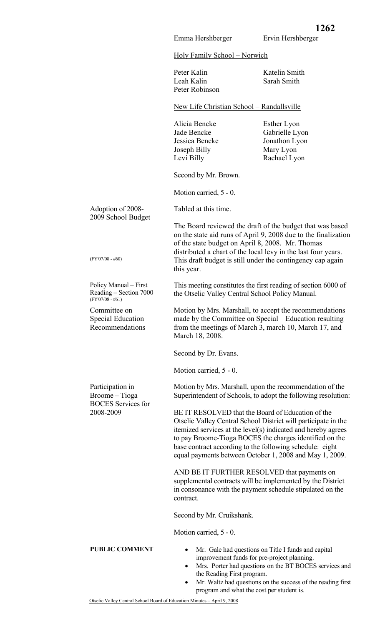Holy Family School – Norwich

Emma Hershberger

|                                                                                | $1101$ y $1'$ alility $3011001 - 1101$ Wich                                                                                                                                                                                                                                                                                                                            |                                                                                                                                                                         |  |  |
|--------------------------------------------------------------------------------|------------------------------------------------------------------------------------------------------------------------------------------------------------------------------------------------------------------------------------------------------------------------------------------------------------------------------------------------------------------------|-------------------------------------------------------------------------------------------------------------------------------------------------------------------------|--|--|
|                                                                                | Peter Kalin<br>Leah Kalin<br>Peter Robinson                                                                                                                                                                                                                                                                                                                            | Katelin Smith<br>Sarah Smith                                                                                                                                            |  |  |
|                                                                                | New Life Christian School - Randallsville                                                                                                                                                                                                                                                                                                                              |                                                                                                                                                                         |  |  |
|                                                                                | Alicia Bencke<br>Jade Bencke<br>Jessica Bencke<br>Joseph Billy<br>Levi Billy                                                                                                                                                                                                                                                                                           | Esther Lyon<br>Gabrielle Lyon<br>Jonathon Lyon<br>Mary Lyon<br>Rachael Lyon                                                                                             |  |  |
|                                                                                | Second by Mr. Brown.                                                                                                                                                                                                                                                                                                                                                   |                                                                                                                                                                         |  |  |
|                                                                                | Motion carried, 5 - 0.                                                                                                                                                                                                                                                                                                                                                 |                                                                                                                                                                         |  |  |
| Adoption of 2008-<br>2009 School Budget                                        | Tabled at this time.                                                                                                                                                                                                                                                                                                                                                   |                                                                                                                                                                         |  |  |
| $(FY'07/08 - #60)$                                                             | The Board reviewed the draft of the budget that was based<br>on the state aid runs of April 9, 2008 due to the finalization<br>of the state budget on April 8, 2008. Mr. Thomas<br>distributed a chart of the local levy in the last four years.<br>This draft budget is still under the contingency cap again<br>this year.                                           |                                                                                                                                                                         |  |  |
| Policy Manual – First<br>Reading – Section 7000<br>$(FY'07/08 - #61)$          | This meeting constitutes the first reading of section 6000 of<br>the Otselic Valley Central School Policy Manual.                                                                                                                                                                                                                                                      |                                                                                                                                                                         |  |  |
| Committee on<br><b>Special Education</b><br>Recommendations<br>March 18, 2008. |                                                                                                                                                                                                                                                                                                                                                                        | Motion by Mrs. Marshall, to accept the recommendations<br>made by the Committee on Special Education resulting<br>from the meetings of March 3, march 10, March 17, and |  |  |
|                                                                                | Second by Dr. Evans.                                                                                                                                                                                                                                                                                                                                                   |                                                                                                                                                                         |  |  |
|                                                                                | Motion carried, 5 - 0.                                                                                                                                                                                                                                                                                                                                                 |                                                                                                                                                                         |  |  |
| Participation in<br>Broome – Tioga<br><b>BOCES</b> Services for                | Motion by Mrs. Marshall, upon the recommendation of the<br>Superintendent of Schools, to adopt the following resolution:                                                                                                                                                                                                                                               |                                                                                                                                                                         |  |  |
| 2008-2009                                                                      | BE IT RESOLVED that the Board of Education of the<br>Otselic Valley Central School District will participate in the<br>itemized services at the level(s) indicated and hereby agrees<br>to pay Broome-Tioga BOCES the charges identified on the<br>base contract according to the following schedule: eight<br>equal payments between October 1, 2008 and May 1, 2009. |                                                                                                                                                                         |  |  |
|                                                                                | AND BE IT FURTHER RESOLVED that payments on<br>supplemental contracts will be implemented by the District<br>in consonance with the payment schedule stipulated on the<br>contract.                                                                                                                                                                                    |                                                                                                                                                                         |  |  |
|                                                                                | Second by Mr. Cruikshank.                                                                                                                                                                                                                                                                                                                                              |                                                                                                                                                                         |  |  |
|                                                                                | Motion carried, 5 - 0.                                                                                                                                                                                                                                                                                                                                                 |                                                                                                                                                                         |  |  |
| <b>PUBLIC COMMENT</b>                                                          | improvement funds for pre-project planning.<br>the Reading First program.                                                                                                                                                                                                                                                                                              | Mr. Gale had questions on Title I funds and capital<br>Mrs. Porter had questions on the BT BOCES services and                                                           |  |  |

• Mr. Waltz had questions on the success of the reading first program and what the cost per student is.